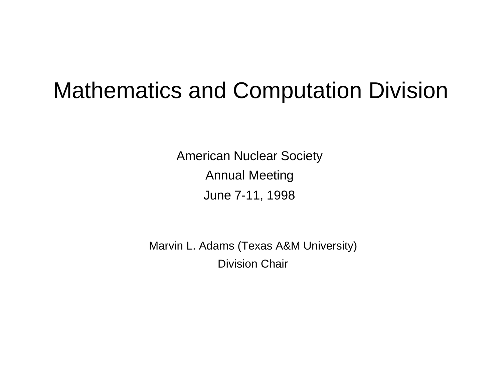# Mathematics and Computation Division

American Nuclear Society Annual Meeting June 7-11, 1998

Marvin L. Adams (Texas A&M University) Division Chair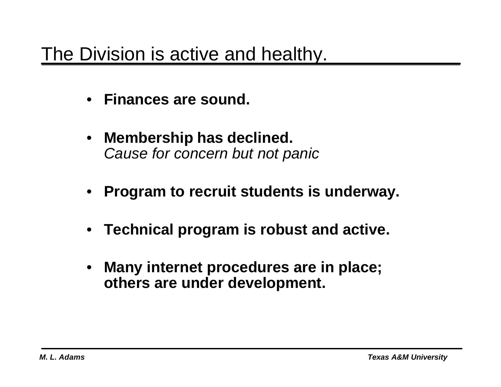### The Division is active and healthy.

- **Finances are sound.**
- **Membership has declined.** *Cause for concern but not panic*
- **Program to recruit students is underway.**
- **Technical program is robust and active.**
- **Many internet procedures are in place; others are under development.**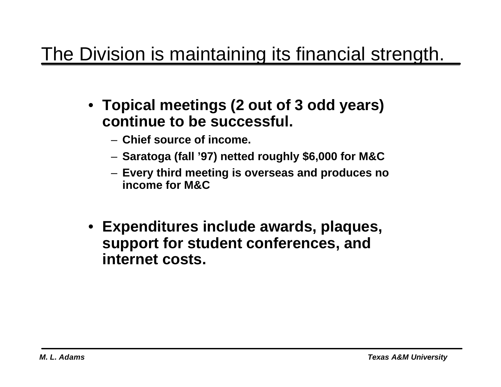# The Division is maintaining its financial strength.

- **Topical meetings (2 out of 3 odd years) continue to be successful.**
	- **Chief source of income.**
	- **Saratoga (fall '97) netted roughly \$6,000 for M&C**
	- **Every third meeting is overseas and produces no income for M&C**
- **Expenditures include awards, plaques, support for student conferences, and internet costs.**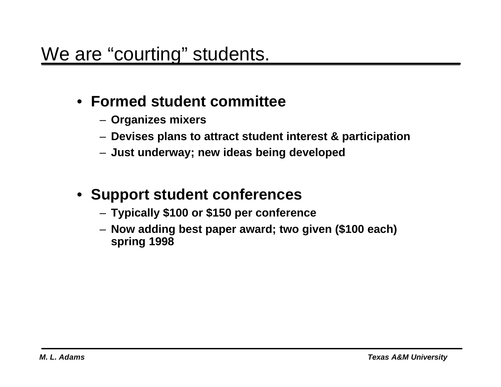### • **Formed student committee**

- **Organizes mixers**
- **Devises plans to attract student interest & participation**
- **Just underway; new ideas being developed**

#### • **Support student conferences**

- **Typically \$100 or \$150 per conference**
- **Now adding best paper award; two given (\$100 each) spring 1998**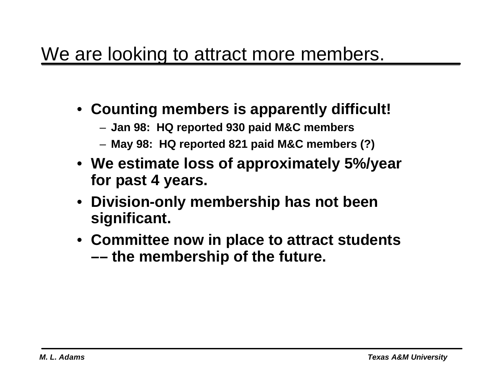### We are looking to attract more members.

- **Counting members is apparently difficult!**
	- **Jan 98: HQ reported 930 paid M&C members**
	- **May 98: HQ reported 821 paid M&C members (?)**
- **We estimate loss of approximately 5%/year for past 4 years.**
- **Division-only membership has not been significant.**
- **Committee now in place to attract students –– the membership of the future.**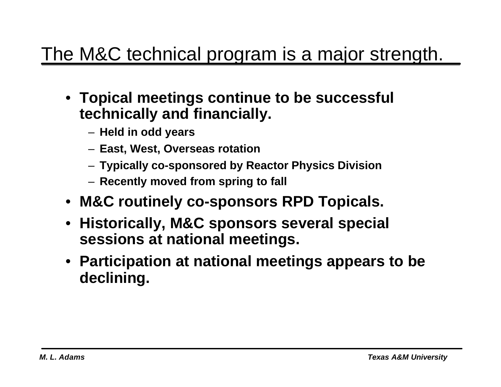## The M&C technical program is a major strength.

- **Topical meetings continue to be successful technically and financially.**
	- **Held in odd years**
	- **East, West, Overseas rotation**
	- **Typically co-sponsored by Reactor Physics Division**
	- **Recently moved from spring to fall**
- **M&C routinely co-sponsors RPD Topicals.**
- **Historically, M&C sponsors several special sessions at national meetings.**
- **Participation at national meetings appears to be declining.**